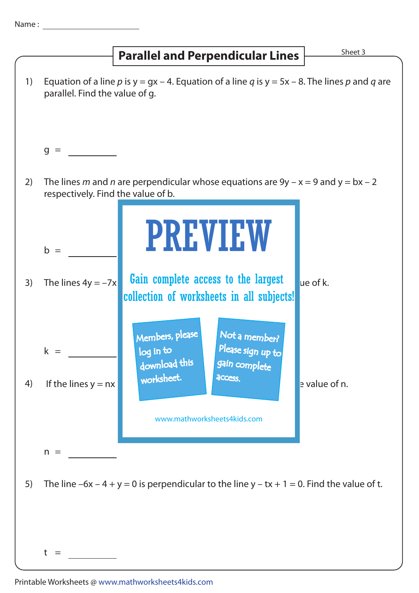## **Parallel and Perpendicular Lines**  $\frac{\text{Sheet 3}}{\text{}}$

|    |                                    | <b>Parallel and Perpendicular Lines</b>                                                                                                                      | ר זאונר       |
|----|------------------------------------|--------------------------------------------------------------------------------------------------------------------------------------------------------------|---------------|
| 1) | parallel. Find the value of g.     | Equation of a line p is $y = gx - 4$ . Equation of a line q is $y = 5x - 8$ . The lines p and q are                                                          |               |
|    | $g =$                              |                                                                                                                                                              |               |
| 2) | respectively. Find the value of b. | The lines m and n are perpendicular whose equations are $9y - x = 9$ and $y = bx - 2$                                                                        |               |
|    | $b =$                              | <b>PREVIEW</b>                                                                                                                                               |               |
| 3) | The lines $4y = -7x$               | Gain complete access to the largest<br>collection of worksheets in all subjects!                                                                             | ue of k.      |
| 4) | $k =$<br>If the lines $y = nx$     | Members, please<br>Not a member?<br>Please sign up to<br>log in to<br>download this<br>gain complete<br>worksheet.<br>access.<br>www.mathworksheets4kids.com | e value of n. |
| 5) | $n =$                              | The line $-6x - 4 + y = 0$ is perpendicular to the line $y - tx + 1 = 0$ . Find the value of t.                                                              |               |
|    | t<br>$=$                           |                                                                                                                                                              |               |